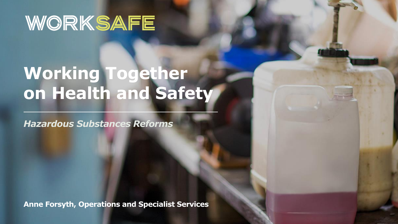# WORKSAFE

# **Working Together on Health and Safety**

*Hazardous Substances Reforms*

**Anne Forsyth, Operations and Specialist Services**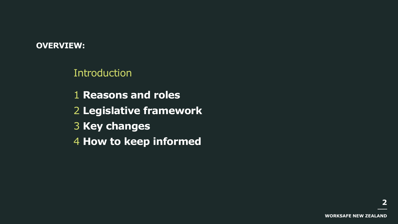#### **OVERVIEW:**

**Introduction** 

 **Reasons and roles Legislative framework Key changes How to keep informed**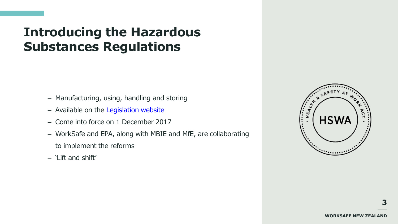## **Introducing the Hazardous Substances Regulations**

- Manufacturing, using, handling and storing
- Available on the [Legislation website](http://www.legislation.govt.nz/regulation/public/2017/0131/latest/DLM7309401.html?src=qs)
- Come into force on 1 December 2017
- WorkSafe and EPA, along with MBIE and MfE, are collaborating to implement the reforms
- $-$  'Lift and shift'

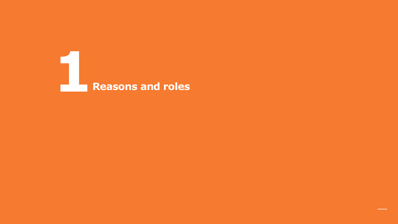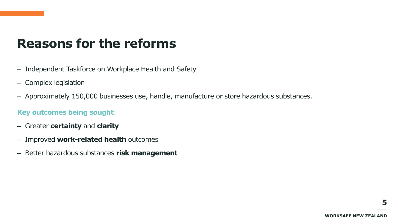### **Reasons for the reforms**

- Independent Taskforce on Workplace Health and Safety
- Complex legislation
- Approximately 150,000 businesses use, handle, manufacture or store hazardous substances.

#### **Key outcomes being sought**:

- Greater **certainty** and **clarity**
- Improved **work-related health** outcomes
- Better hazardous substances **risk management**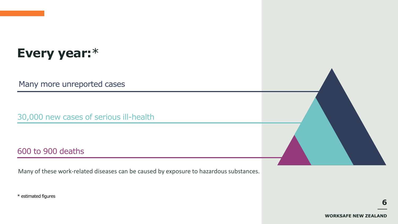# **Every year:**\*

Many more unreported cases

30,000 new cases of serious ill-health

#### 600 to 900 deaths

Many of these work-related diseases can be caused by exposure to hazardous substances.

\* estimated figures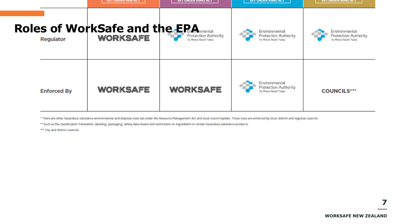|                    | <b>SET UNDER HSW ACT</b>                                | <b>SET UNDER HSNO ACT</b>                   | <b>SET UNDER HONO AC</b>                                     | <b>BET UNDER HSNO ACT</b>                                    |
|--------------------|---------------------------------------------------------|---------------------------------------------|--------------------------------------------------------------|--------------------------------------------------------------|
| Regulator          | <b>Roles of WorkSafe and the EPA</b><br><b>WORKSAFE</b> | Protection Authority<br>Te Mana Rauhf Talao | Environmental<br>Protection Authority<br>Te Mana Rauhl Talao | Environmental<br>Protection Authority<br>Te Mana Rauhl Talao |
| <b>Enforced By</b> | WORKSAFE                                                | <b>WORKSAFE</b>                             | Environmental<br>Protection Authority<br>Te Mana Rauhī Tabio | <b>COUNCILS***</b>                                           |

\* There are other hazardous substance environmental and disposal rules set under the Resource Management Act and local council bylaws. These rules are enforced by local, district and regional councils.

\*\* Such as the classification framework, labelling, packaging, safety data sheets and restrictions on ingredients in certain hazardous substance products.

\*\*\* City and district councils.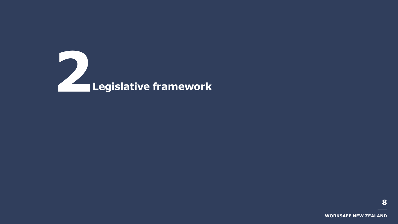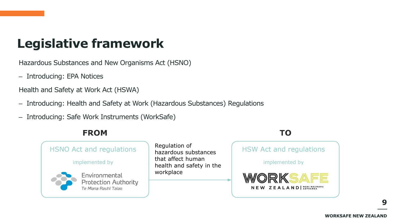# **Legislative framework**

Hazardous Substances and New Organisms Act (HSNO)

– Introducing: EPA Notices

Health and Safety at Work Act (HSWA)

- Introducing: Health and Safety at Work (Hazardous Substances) Regulations
- Introducing: Safe Work Instruments (WorkSafe)

#### **FROM**



#### **TO**

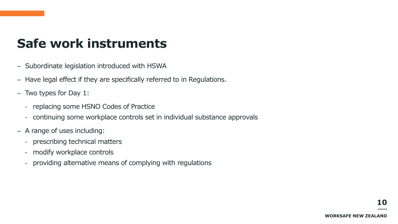### **Safe work instruments**

- Subordinate legislation introduced with HSWA
- Have legal effect if they are specifically referred to in Regulations.
- Two types for Day 1:
	- replacing some HSNO Codes of Practice
	- continuing some workplace controls set in individual substance approvals
- A range of uses including:
	- prescribing technical matters
	- modify workplace controls
	- providing alternative means of complying with regulations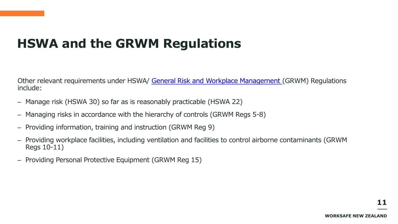# **HSWA and the GRWM Regulations**

Other relevant requirements under HSWA/ [General Risk and Workplace Management](http://www.legislation.govt.nz/regulation/public/2016/0013/latest/DLM6727530.html?src=qs) (GRWM) Regulations include:

- Manage risk (HSWA 30) so far as is reasonably practicable (HSWA 22)
- Managing risks in accordance with the hierarchy of controls (GRWM Regs 5-8)
- Providing information, training and instruction (GRWM Reg 9)
- Providing workplace facilities, including ventilation and facilities to control airborne contaminants (GRWM Regs 10-11)
- Providing Personal Protective Equipment (GRWM Reg 15)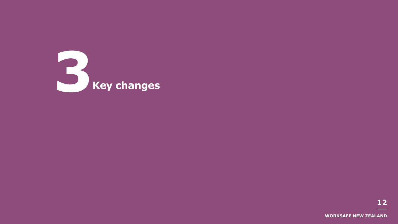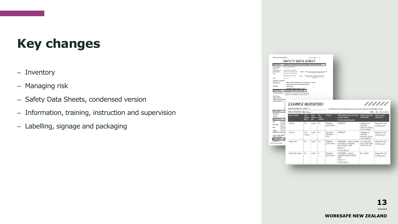## **Key changes**

- Inventory
- Managing risk
- Safety Data Sheets, condensed version
- Information, training, instruction and supervision
- Labelling, signage and packaging

|                                                                                                                       |                                                                                                      | <b>SAFETY DATA SHEET</b>                                                                              |                                      |                                  |                                                                                               |                                         |                                                                                                                              |                                                                         |                                                                  |
|-----------------------------------------------------------------------------------------------------------------------|------------------------------------------------------------------------------------------------------|-------------------------------------------------------------------------------------------------------|--------------------------------------|----------------------------------|-----------------------------------------------------------------------------------------------|-----------------------------------------|------------------------------------------------------------------------------------------------------------------------------|-------------------------------------------------------------------------|------------------------------------------------------------------|
|                                                                                                                       |                                                                                                      |                                                                                                       |                                      |                                  |                                                                                               |                                         |                                                                                                                              |                                                                         |                                                                  |
| CTION 1<br>Product Name:                                                                                              |                                                                                                      | IDENTIFICATION OF THE MATERIAL AND SUPPLIER<br>METHYLATED GIVENS                                      |                                      |                                  |                                                                                               |                                         |                                                                                                                              |                                                                         |                                                                  |
| <b>Dies Annum</b><br><b>Responsessing</b><br>Company North<br>Phone:                                                  |                                                                                                      | Equipment course years Hong-<br>Supera Paints Limited New Systems<br>(Gold/Fiddle Fax: Link-STP take) |                                      |                                  | Address Schlings Street Nearer, Nethelm NW204140.<br>For the Street Way and the contributions |                                         |                                                                                                                              |                                                                         |                                                                  |
|                                                                                                                       |                                                                                                      | <b>Beara Purscared Austral</b><br><b>Address</b>                                                      |                                      |                                  | 7 Prosiation A series. Molevallac, Guerra Leo 42 Ki                                           |                                         |                                                                                                                              |                                                                         |                                                                  |
| <b>Hore</b>                                                                                                           | <b>HAYTE BE</b>                                                                                      |                                                                                                       |                                      |                                  | P Cillia MC Artistica Dra Government 6214                                                     |                                         |                                                                                                                              |                                                                         |                                                                  |
| <b>Emergency Telephone:</b>                                                                                           |                                                                                                      |                                                                                                       |                                      |                                  |                                                                                               |                                         |                                                                                                                              |                                                                         |                                                                  |
| <b>New Example</b>                                                                                                    |                                                                                                      | 0800 727 363 Avelable Monday - Friday 8.0 Sen - 4.30 am<br>New Zealand Palacos Centre 1920 764 746    |                                      |                                  |                                                                                               |                                         |                                                                                                                              |                                                                         |                                                                  |
| Australia                                                                                                             |                                                                                                      | 1000 738 385                                                                                          |                                      |                                  |                                                                                               |                                         |                                                                                                                              |                                                                         |                                                                  |
|                                                                                                                       |                                                                                                      | Australian Polygns Centre: 121 122                                                                    |                                      |                                  |                                                                                               |                                         |                                                                                                                              |                                                                         |                                                                  |
| CTION 2                                                                                                               |                                                                                                      | HAZARDS IDENTIFICATION<br>Happy Constitution HAZARDOUS according to N2 HSND Requisitions              |                                      |                                  |                                                                                               |                                         |                                                                                                                              |                                                                         |                                                                  |
|                                                                                                                       |                                                                                                      |                                                                                                       |                                      |                                  |                                                                                               |                                         |                                                                                                                              |                                                                         |                                                                  |
|                                                                                                                       | ö<br>$\overline{a}$<br>ë<br>o                                                                        | <b>EXAMPLE INVENTORY</b><br>YOUR INVENTORY PIN: 8VMJ 77                                               |                                      |                                  |                                                                                               |                                         | The HSNO Calculator will assign you with a pin so you can access your inventory again in future.                             |                                                                         |                                                                  |
| <b>SECTION 3</b>                                                                                                      |                                                                                                      | NAME OF INVENTORY: Workshop                                                                           |                                      |                                  |                                                                                               |                                         |                                                                                                                              | DATE:                                                                   |                                                                  |
| <b>Ingredients</b><br>Etheral<br>Methenol<br><b>ECTION 4</b>                                                          |                                                                                                      | <b>Name of product</b>                                                                                | <b>Total</b><br>amount<br>$(x_2, t)$ | Solid<br><b>Liquid</b> or<br>646 | Size<br>of the<br>container                                                                   | Location                                | HSNO approval number and name<br>of group standard<br>UN class and packing group                                             | <b>HSNO</b> classification<br>(if available)                            | Special storage<br>requirements                                  |
| <b>E</b> gen<br><b>Swattgard</b><br>used.<br>tics.                                                                    | <b>Plyme cars</b><br><b>Continue</b><br>$C = 170$<br>IF ON THE<br>If shot me<br><b>Fluorence</b> for | Ace fone                                                                                              | 5L                                   | Liquid                           | 5L                                                                                            | Flommable<br>auds calinet               | <b>H5R00/070</b>                                                                                                             | Commonly used<br>substance.<br>information atready<br>in the colculatur | //////<br>06 / 05 / 2013<br>Incompatible with<br>chtheo paidisip |
| <b>Industrial</b><br>Appreciated memorizan<br><b>Chronic Health Effects</b><br><b>Ativies to Dooter</b><br>SECTION 5. | F                                                                                                    | Aceton                                                                                                | 40 L<br>(4101)                       | Llauid                           | 10L                                                                                           | Honordean<br><b>Substances</b><br>store | <b>HSROOD70</b>                                                                                                              | Commonly used<br>substance.<br>information otready<br>in the colculator | saidising ogents                                                 |
| Extinguisher<br>METHYLATED SPIRITS                                                                                    |                                                                                                      | Polyurethane                                                                                          | ID L                                 | Liquid                           | 10L                                                                                           | Florescule<br>quods calitet             | HSR002662 - Surface Coatlings<br>and Colourants (Flamnable)<br><b>Group Standard 2006</b><br>UN clone 3<br>Focking Group III | 3JC 6JF 63A<br>64A 65A 65B<br>6.88, 6.9A, 9.ID                          | Incompatible with<br>Incompatible with<br>caldising open'ts      |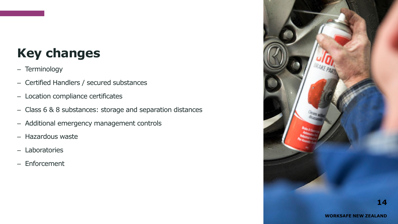# **Key changes**

- Terminology
- Certified Handlers / secured substances
- Location compliance certificates
- Class 6 & 8 substances: storage and separation distances
- Additional emergency management controls
- Hazardous waste
- Laboratories
- Enforcement

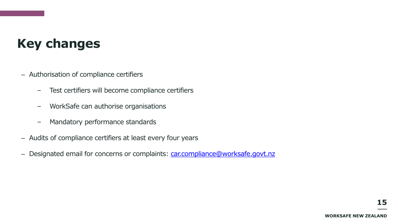## **Key changes**

- Authorisation of compliance certifiers
	- Test certifiers will become compliance certifiers
	- WorkSafe can authorise organisations
	- Mandatory performance standards
- Audits of compliance certifiers at least every four years
- Designated email for concerns or complaints: [car.compliance@worksafe.govt.nz](mailto:car.compliance@worksafe.govt.nz)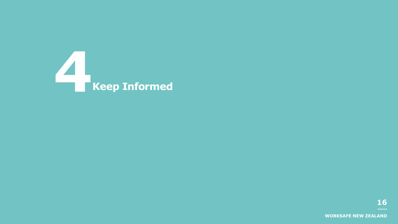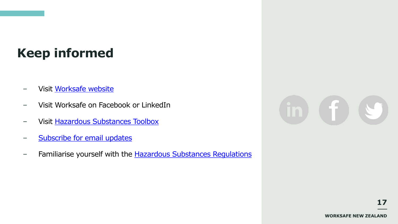# **Keep informed**

- Visit [Worksafe](http://www.worksafe.govt.nz/worksafe/information-guidance/guidance-by-industry/hsno) [website](http://www.worksafe.govt.nz/worksafe/information-guidance/guidance-by-industry/hsno)
- Visit Worksafe on Facebook or LinkedIn
- Visit [Hazardous Substances Toolbox](http://www.hazardoussubstances.govt.nz/)
- [Subscribe for email updates](http://www.worksafe.govt.nz/worksafe/about/subscribe)
- Familiarise yourself with the **Hazardous Substances Regulations**